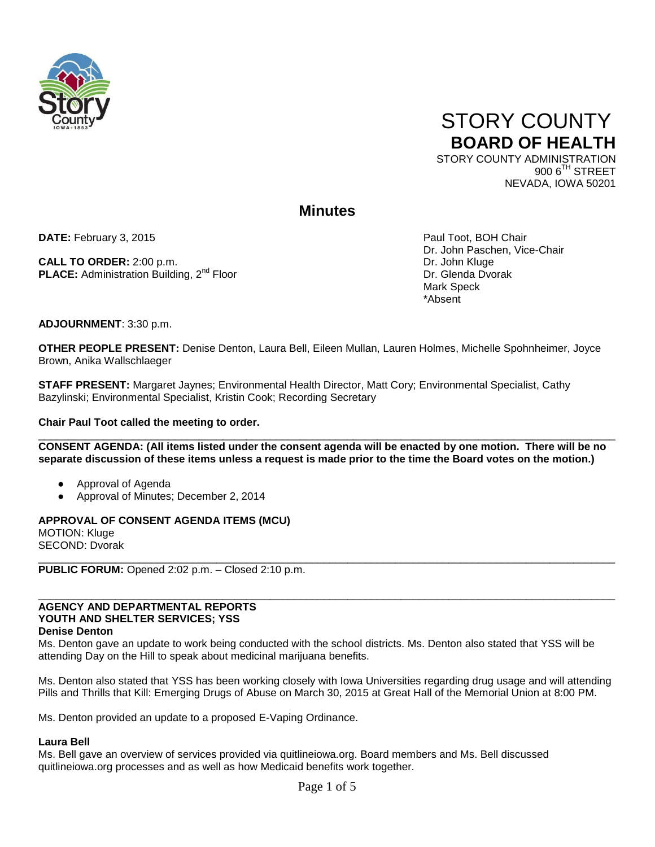



NEVADA, IOWA 50201

# **Minutes**

**DATE:** February 3, 2015 **Paul Toot, BOH Chair** Paul Toot, BOH Chair

**CALL TO ORDER:** 2:00 p.m.<br> **PLACE:** Administration Building. 2<sup>nd</sup> Floor New York Number 2:00 pr. Glenda Dvorak **PLACE:** Administration Building, 2<sup>nd</sup> Floor

Dr. John Paschen, Vice-Chair Mark Speck \*Absent

**ADJOURNMENT**: 3:30 p.m.

**OTHER PEOPLE PRESENT:** Denise Denton, Laura Bell, Eileen Mullan, Lauren Holmes, Michelle Spohnheimer, Joyce Brown, Anika Wallschlaeger

**STAFF PRESENT:** Margaret Jaynes; Environmental Health Director, Matt Cory; Environmental Specialist, Cathy Bazylinski; Environmental Specialist, Kristin Cook; Recording Secretary

# **Chair Paul Toot called the meeting to order.**

 $\bot$  , and the contribution of the contribution of the contribution of the contribution of the contribution of the contribution of the contribution of the contribution of the contribution of the contribution of the contri **CONSENT AGENDA: (All items listed under the consent agenda will be enacted by one motion. There will be no separate discussion of these items unless a request is made prior to the time the Board votes on the motion.)**

- Approval of Agenda
- Approval of Minutes; December 2, 2014

**APPROVAL OF CONSENT AGENDA ITEMS (MCU)**  MOTION: Kluge SECOND: Dvorak  $\_$  ,  $\_$  ,  $\_$  ,  $\_$  ,  $\_$  ,  $\_$  ,  $\_$  ,  $\_$  ,  $\_$  ,  $\_$  ,  $\_$  ,  $\_$  ,  $\_$  ,  $\_$  ,  $\_$  ,  $\_$  ,  $\_$  ,  $\_$  ,  $\_$  ,  $\_$  ,  $\_$  ,  $\_$  ,  $\_$  ,  $\_$  ,  $\_$  ,  $\_$  ,  $\_$  ,  $\_$  ,  $\_$  ,  $\_$  ,  $\_$  ,  $\_$  ,  $\_$  ,  $\_$  ,  $\_$  ,  $\_$  ,  $\_$  ,

**PUBLIC FORUM:** Opened 2:02 p.m. – Closed 2:10 p.m.

# \_\_\_\_\_\_\_\_\_\_\_\_\_\_\_\_\_\_\_\_\_\_\_\_\_\_\_\_\_\_\_\_\_\_\_\_\_\_\_\_\_\_\_\_\_\_\_\_\_\_\_\_\_\_\_\_\_\_\_\_\_\_\_\_\_\_\_\_\_\_\_\_\_\_\_\_\_\_\_\_\_\_\_\_\_\_\_\_\_\_\_\_\_\_\_\_\_ **AGENCY AND DEPARTMENTAL REPORTS YOUTH AND SHELTER SERVICES; YSS**

**Denise Denton**

Ms. Denton gave an update to work being conducted with the school districts. Ms. Denton also stated that YSS will be attending Day on the Hill to speak about medicinal marijuana benefits.

Ms. Denton also stated that YSS has been working closely with Iowa Universities regarding drug usage and will attending Pills and Thrills that Kill: Emerging Drugs of Abuse on March 30, 2015 at Great Hall of the Memorial Union at 8:00 PM.

Ms. Denton provided an update to a proposed E-Vaping Ordinance.

# **Laura Bell**

Ms. Bell gave an overview of services provided via quitlineiowa.org. Board members and Ms. Bell discussed quitlineiowa.org processes and as well as how Medicaid benefits work together.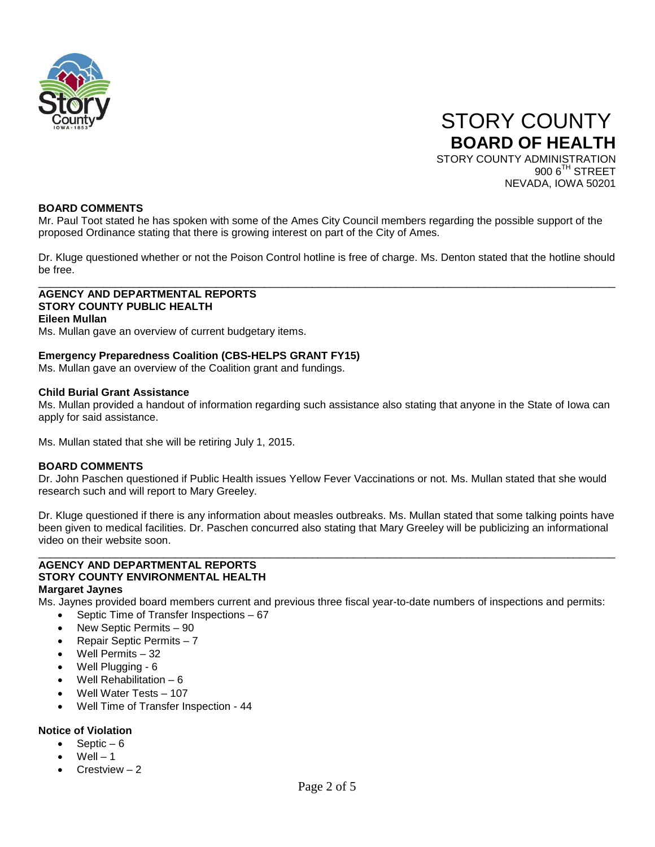

 STORY COUNTY **BOARD OF HEALTH** STORY COUNTY ADMINISTRATION 900 6<sup>TH</sup> STREET NEVADA, IOWA 50201

# **BOARD COMMENTS**

Mr. Paul Toot stated he has spoken with some of the Ames City Council members regarding the possible support of the proposed Ordinance stating that there is growing interest on part of the City of Ames.

Dr. Kluge questioned whether or not the Poison Control hotline is free of charge. Ms. Denton stated that the hotline should be free.  $\Box$ 

**AGENCY AND DEPARTMENTAL REPORTS STORY COUNTY PUBLIC HEALTH Eileen Mullan**

Ms. Mullan gave an overview of current budgetary items.

# **Emergency Preparedness Coalition (CBS-HELPS GRANT FY15)**

Ms. Mullan gave an overview of the Coalition grant and fundings.

#### **Child Burial Grant Assistance**

Ms. Mullan provided a handout of information regarding such assistance also stating that anyone in the State of Iowa can apply for said assistance.

Ms. Mullan stated that she will be retiring July 1, 2015.

# **BOARD COMMENTS**

Dr. John Paschen questioned if Public Health issues Yellow Fever Vaccinations or not. Ms. Mullan stated that she would research such and will report to Mary Greeley.

Dr. Kluge questioned if there is any information about measles outbreaks. Ms. Mullan stated that some talking points have been given to medical facilities. Dr. Paschen concurred also stating that Mary Greeley will be publicizing an informational video on their website soon.

\_\_\_\_\_\_\_\_\_\_\_\_\_\_\_\_\_\_\_\_\_\_\_\_\_\_\_\_\_\_\_\_\_\_\_\_\_\_\_\_\_\_\_\_\_\_\_\_\_\_\_\_\_\_\_\_\_\_\_\_\_\_\_\_\_\_\_\_\_\_\_\_\_\_\_\_\_\_\_\_\_\_\_\_\_\_\_\_\_\_\_\_\_\_\_\_\_

#### **AGENCY AND DEPARTMENTAL REPORTS STORY COUNTY ENVIRONMENTAL HEALTH Margaret Jaynes**

Ms. Jaynes provided board members current and previous three fiscal year-to-date numbers of inspections and permits:

- Septic Time of Transfer Inspections 67
- New Septic Permits 90
- Repair Septic Permits 7
- Well Permits 32
- Well Plugging 6
- Well Rehabilitation 6
- Well Water Tests 107
- Well Time of Transfer Inspection 44

# **Notice of Violation**

- Septic  $-6$
- $Well 1$
- Crestview 2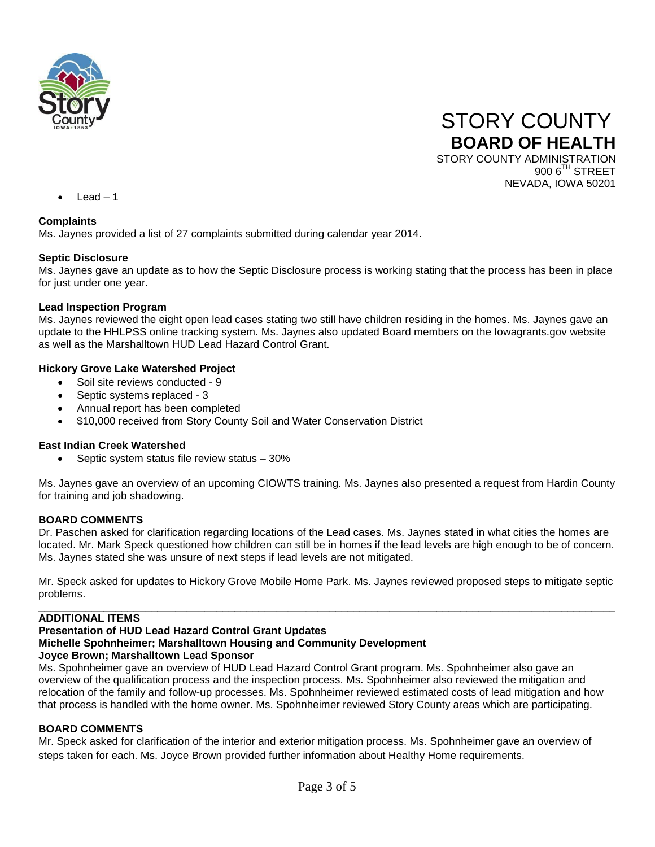



 $Leaf - 1$ 

# **Complaints**

Ms. Jaynes provided a list of 27 complaints submitted during calendar year 2014.

# **Septic Disclosure**

Ms. Jaynes gave an update as to how the Septic Disclosure process is working stating that the process has been in place for just under one year.

# **Lead Inspection Program**

Ms. Jaynes reviewed the eight open lead cases stating two still have children residing in the homes. Ms. Jaynes gave an update to the HHLPSS online tracking system. Ms. Jaynes also updated Board members on the Iowagrants.gov website as well as the Marshalltown HUD Lead Hazard Control Grant.

# **Hickory Grove Lake Watershed Project**

- Soil site reviews conducted 9
- Septic systems replaced 3
- Annual report has been completed
- \$10,000 received from Story County Soil and Water Conservation District

# **East Indian Creek Watershed**

• Septic system status file review status – 30%

Ms. Jaynes gave an overview of an upcoming CIOWTS training. Ms. Jaynes also presented a request from Hardin County for training and job shadowing.

# **BOARD COMMENTS**

Dr. Paschen asked for clarification regarding locations of the Lead cases. Ms. Jaynes stated in what cities the homes are located. Mr. Mark Speck questioned how children can still be in homes if the lead levels are high enough to be of concern. Ms. Jaynes stated she was unsure of next steps if lead levels are not mitigated.

Mr. Speck asked for updates to Hickory Grove Mobile Home Park. Ms. Jaynes reviewed proposed steps to mitigate septic problems.

#### $\_$  ,  $\_$  ,  $\_$  ,  $\_$  ,  $\_$  ,  $\_$  ,  $\_$  ,  $\_$  ,  $\_$  ,  $\_$  ,  $\_$  ,  $\_$  ,  $\_$  ,  $\_$  ,  $\_$  ,  $\_$  ,  $\_$  ,  $\_$  ,  $\_$  ,  $\_$  ,  $\_$  ,  $\_$  ,  $\_$  ,  $\_$  ,  $\_$  ,  $\_$  ,  $\_$  ,  $\_$  ,  $\_$  ,  $\_$  ,  $\_$  ,  $\_$  ,  $\_$  ,  $\_$  ,  $\_$  ,  $\_$  ,  $\_$  , **ADDITIONAL ITEMS**

# **Presentation of HUD Lead Hazard Control Grant Updates Michelle Spohnheimer; Marshalltown Housing and Community Development Joyce Brown; Marshalltown Lead Sponsor**

Ms. Spohnheimer gave an overview of HUD Lead Hazard Control Grant program. Ms. Spohnheimer also gave an overview of the qualification process and the inspection process. Ms. Spohnheimer also reviewed the mitigation and relocation of the family and follow-up processes. Ms. Spohnheimer reviewed estimated costs of lead mitigation and how that process is handled with the home owner. Ms. Spohnheimer reviewed Story County areas which are participating.

# **BOARD COMMENTS**

Mr. Speck asked for clarification of the interior and exterior mitigation process. Ms. Spohnheimer gave an overview of steps taken for each. Ms. Joyce Brown provided further information about Healthy Home requirements.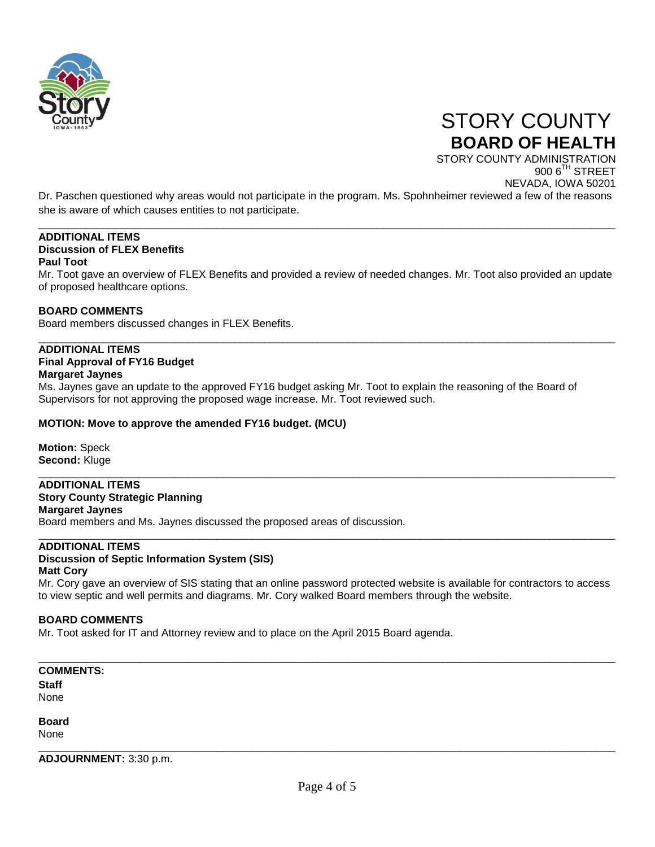

 STORY COUNTY **BOARD OF HEALTH**

STORY COUNTY ADMINISTRATION 900 6<sup>TH</sup> STREET NEVADA, IOWA 50201

Dr. Paschen questioned why areas would not participate in the program. Ms. Spohnheimer reviewed a few of the reasons she is aware of which causes entities to not participate.

\_\_\_\_\_\_\_\_\_\_\_\_\_\_\_\_\_\_\_\_\_\_\_\_\_\_\_\_\_\_\_\_\_\_\_\_\_\_\_\_\_\_\_\_\_\_\_\_\_\_\_\_\_\_\_\_\_\_\_\_\_\_\_\_\_\_\_\_\_\_\_\_\_\_\_\_\_\_\_\_\_\_\_\_\_\_\_\_\_\_\_\_\_\_\_\_\_

#### **ADDITIONAL ITEMS Discussion of FLEX Benefits Paul Toot**

Mr. Toot gave an overview of FLEX Benefits and provided a review of needed changes. Mr. Toot also provided an update of proposed healthcare options.

\_\_\_\_\_\_\_\_\_\_\_\_\_\_\_\_\_\_\_\_\_\_\_\_\_\_\_\_\_\_\_\_\_\_\_\_\_\_\_\_\_\_\_\_\_\_\_\_\_\_\_\_\_\_\_\_\_\_\_\_\_\_\_\_\_\_\_\_\_\_\_\_\_\_\_\_\_\_\_\_\_\_\_\_\_\_\_\_\_\_\_\_\_\_\_\_\_

\_\_\_\_\_\_\_\_\_\_\_\_\_\_\_\_\_\_\_\_\_\_\_\_\_\_\_\_\_\_\_\_\_\_\_\_\_\_\_\_\_\_\_\_\_\_\_\_\_\_\_\_\_\_\_\_\_\_\_\_\_\_\_\_\_\_\_\_\_\_\_\_\_\_\_\_\_\_\_\_\_\_\_\_\_\_\_\_\_\_\_\_\_\_\_\_\_

# **BOARD COMMENTS**

Board members discussed changes in FLEX Benefits.

# **ADDITIONAL ITEMS**

# **Final Approval of FY16 Budget**

**Margaret Jaynes**

Ms. Jaynes gave an update to the approved FY16 budget asking Mr. Toot to explain the reasoning of the Board of Supervisors for not approving the proposed wage increase. Mr. Toot reviewed such.

# **MOTION: Move to approve the amended FY16 budget. (MCU)**

**Motion:** Speck **Second:** Kluge

# **ADDITIONAL ITEMS**

# **Story County Strategic Planning**

**Margaret Jaynes** Board members and Ms. Jaynes discussed the proposed areas of discussion.

#### \_\_\_\_\_\_\_\_\_\_\_\_\_\_\_\_\_\_\_\_\_\_\_\_\_\_\_\_\_\_\_\_\_\_\_\_\_\_\_\_\_\_\_\_\_\_\_\_\_\_\_\_\_\_\_\_\_\_\_\_\_\_\_\_\_\_\_\_\_\_\_\_\_\_\_\_\_\_\_\_\_\_\_\_\_\_\_\_\_\_\_\_\_\_\_\_\_ **ADDITIONAL ITEMS**

#### **Discussion of Septic Information System (SIS) Matt Cory**

Mr. Cory gave an overview of SIS stating that an online password protected website is available for contractors to access to view septic and well permits and diagrams. Mr. Cory walked Board members through the website.

# **BOARD COMMENTS**

Mr. Toot asked for IT and Attorney review and to place on the April 2015 Board agenda.

#### **COMMENTS: Staff**

None

**Board**

None

**ADJOURNMENT:** 3:30 p.m.

\_\_\_\_\_\_\_\_\_\_\_\_\_\_\_\_\_\_\_\_\_\_\_\_\_\_\_\_\_\_\_\_\_\_\_\_\_\_\_\_\_\_\_\_\_\_\_\_\_\_\_\_\_\_\_\_\_\_\_\_\_\_\_\_\_\_\_\_\_\_\_\_\_\_\_\_\_\_\_\_\_\_\_\_\_\_\_\_\_\_\_\_\_\_\_\_\_

\_\_\_\_\_\_\_\_\_\_\_\_\_\_\_\_\_\_\_\_\_\_\_\_\_\_\_\_\_\_\_\_\_\_\_\_\_\_\_\_\_\_\_\_\_\_\_\_\_\_\_\_\_\_\_\_\_\_\_\_\_\_\_\_\_\_\_\_\_\_\_\_\_\_\_\_\_\_\_\_\_\_\_\_\_\_\_\_\_\_\_\_\_\_\_\_\_